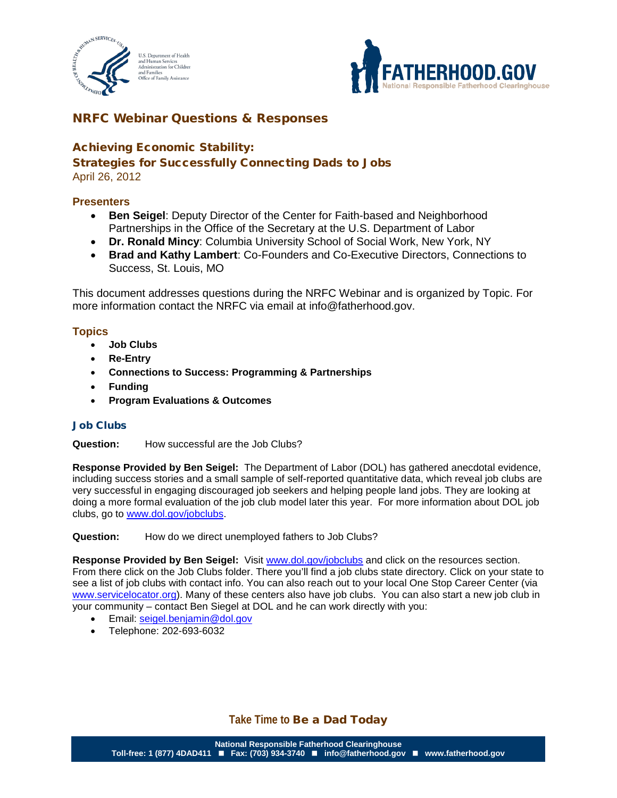



# NRFC Webinar Questions & Responses

## Achieving Economic Stability:

## Strategies for Successfully Connecting Dads to Jobs

April 26, 2012

### **Presenters**

- **Ben Seigel**: Deputy Director of the Center for Faith-based and Neighborhood Partnerships in the Office of the Secretary at the U.S. Department of Labor
- **Dr. Ronald Mincy**: Columbia University School of Social Work, New York, NY
- **Brad and Kathy Lambert**: Co-Founders and Co-Executive Directors, Connections to Success, St. Louis, MO

This document addresses questions during the NRFC Webinar and is organized by Topic. For more information contact the NRFC via email at info@fatherhood.gov.

### **Topics**

- **Job Clubs**
- **Re-Entry**
- **Connections to Success: Programming & Partnerships**
- **Funding**
- **Program Evaluations & Outcomes**

#### Job Clubs

**Question:** How successful are the Job Clubs?

**Response Provided by Ben Seigel:** The Department of Labor (DOL) has gathered anecdotal evidence, including success stories and a small sample of self-reported quantitative data, which reveal job clubs are very successful in engaging discouraged job seekers and helping people land jobs. They are looking at doing a more formal evaluation of the job club model later this year. For more information about DOL job clubs, go to [www.dol.gov/jobclubs.](http://www.dol.gov/jobclubs)

**Question:** How do we direct unemployed fathers to Job Clubs?

Response Provided by Ben Seigel: Visit [www.dol.gov/jobclubs](http://www.dol.gov/jobclubs) and click on the resources section. From there click on the Job Clubs folder. There you'll find a job clubs state directory. Click on your state to see a list of job clubs with contact info. You can also reach out to your local One Stop Career Center (via [www.servicelocator.org\)](http://www.servicelocator.org/). Many of these centers also have job clubs. You can also start a new job club in your community – contact Ben Siegel at DOL and he can work directly with you:

- Email: [seigel.benjamin@dol.gov](mailto:seigel.benjamin@dol.gov)
- Telephone: 202-693-6032

## **Take Time to** Be a Dad Today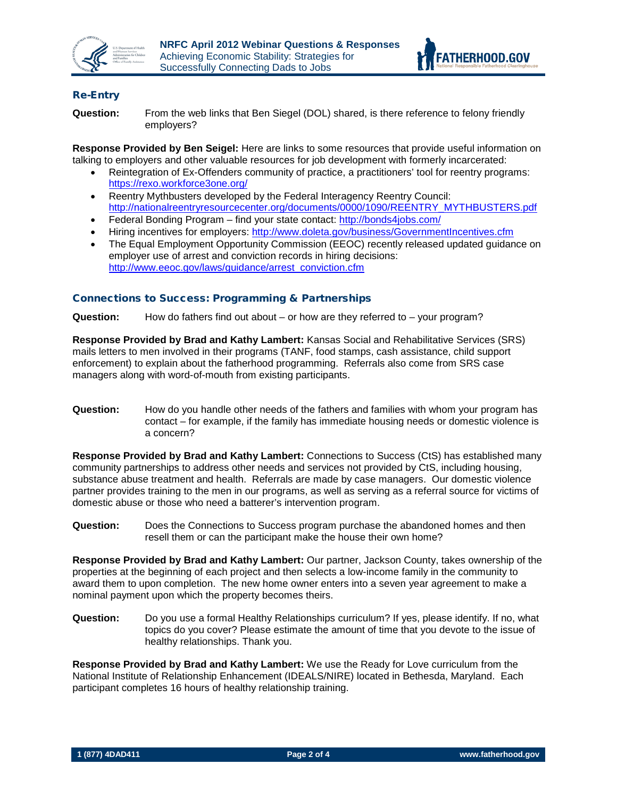



### Re-Entry

**Question:** From the web links that Ben Siegel (DOL) shared, is there reference to felony friendly employers?

**Response Provided by Ben Seigel:** Here are links to some resources that provide useful information on talking to employers and other valuable resources for job development with formerly incarcerated:

- Reintegration of Ex-Offenders community of practice, a practitioners' tool for reentry programs: <https://rexo.workforce3one.org/>
- Reentry Mythbusters developed by the Federal Interagency Reentry Council: [http://nationalreentryresourcecenter.org/documents/0000/1090/REENTRY\\_MYTHBUSTERS.pdf](http://nationalreentryresourcecenter.org/documents/0000/1090/REENTRY_MYTHBUSTERS.pdf)
- Federal Bonding Program find your state contact:<http://bonds4jobs.com/>
- Hiring incentives for employers:<http://www.doleta.gov/business/GovernmentIncentives.cfm>
- The Equal Employment Opportunity Commission (EEOC) recently released updated guidance on employer use of arrest and conviction records in hiring decisions: [http://www.eeoc.gov/laws/guidance/arrest\\_conviction.cfm](http://www.eeoc.gov/laws/guidance/arrest_conviction.cfm)

#### Connections to Success: Programming & Partnerships

**Question:** How do fathers find out about – or how are they referred to – your program?

**Response Provided by Brad and Kathy Lambert:** Kansas Social and Rehabilitative Services (SRS) mails letters to men involved in their programs (TANF, food stamps, cash assistance, child support enforcement) to explain about the fatherhood programming. Referrals also come from SRS case managers along with word-of-mouth from existing participants.

**Question:** How do you handle other needs of the fathers and families with whom your program has contact – for example, if the family has immediate housing needs or domestic violence is a concern?

**Response Provided by Brad and Kathy Lambert:** Connections to Success (CtS) has established many community partnerships to address other needs and services not provided by CtS, including housing, substance abuse treatment and health. Referrals are made by case managers. Our domestic violence partner provides training to the men in our programs, as well as serving as a referral source for victims of domestic abuse or those who need a batterer's intervention program.

**Question:** Does the Connections to Success program purchase the abandoned homes and then resell them or can the participant make the house their own home?

**Response Provided by Brad and Kathy Lambert:** Our partner, Jackson County, takes ownership of the properties at the beginning of each project and then selects a low-income family in the community to award them to upon completion. The new home owner enters into a seven year agreement to make a nominal payment upon which the property becomes theirs.

**Question:** Do you use a formal Healthy Relationships curriculum? If yes, please identify. If no, what topics do you cover? Please estimate the amount of time that you devote to the issue of healthy relationships. Thank you.

**Response Provided by Brad and Kathy Lambert:** We use the Ready for Love curriculum from the National Institute of Relationship Enhancement (IDEALS/NIRE) located in Bethesda, Maryland. Each participant completes 16 hours of healthy relationship training.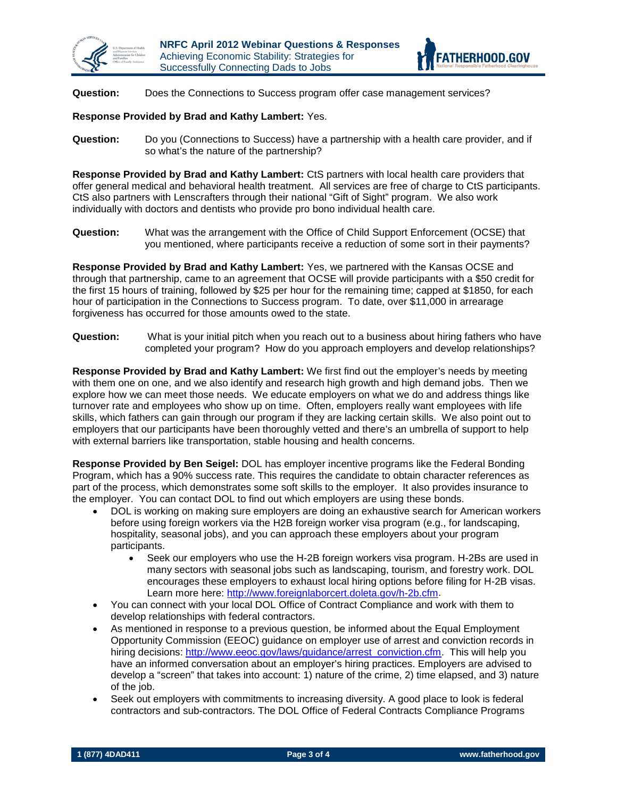



**Question:** Does the Connections to Success program offer case management services?

**Response Provided by Brad and Kathy Lambert:** Yes.

**Question:** Do you (Connections to Success) have a partnership with a health care provider, and if so what's the nature of the partnership?

**Response Provided by Brad and Kathy Lambert:** CtS partners with local health care providers that offer general medical and behavioral health treatment. All services are free of charge to CtS participants. CtS also partners with Lenscrafters through their national "Gift of Sight" program. We also work individually with doctors and dentists who provide pro bono individual health care.

**Question:** What was the arrangement with the Office of Child Support Enforcement (OCSE) that you mentioned, where participants receive a reduction of some sort in their payments?

**Response Provided by Brad and Kathy Lambert:** Yes, we partnered with the Kansas OCSE and through that partnership, came to an agreement that OCSE will provide participants with a \$50 credit for the first 15 hours of training, followed by \$25 per hour for the remaining time; capped at \$1850, for each hour of participation in the Connections to Success program. To date, over \$11,000 in arrearage forgiveness has occurred for those amounts owed to the state.

**Question:** What is your initial pitch when you reach out to a business about hiring fathers who have completed your program? How do you approach employers and develop relationships?

**Response Provided by Brad and Kathy Lambert:** We first find out the employer's needs by meeting with them one on one, and we also identify and research high growth and high demand jobs. Then we explore how we can meet those needs. We educate employers on what we do and address things like turnover rate and employees who show up on time. Often, employers really want employees with life skills, which fathers can gain through our program if they are lacking certain skills. We also point out to employers that our participants have been thoroughly vetted and there's an umbrella of support to help with external barriers like transportation, stable housing and health concerns.

**Response Provided by Ben Seigel:** DOL has employer incentive programs like the Federal Bonding Program, which has a 90% success rate. This requires the candidate to obtain character references as part of the process, which demonstrates some soft skills to the employer. It also provides insurance to the employer. You can contact DOL to find out which employers are using these bonds.

- DOL is working on making sure employers are doing an exhaustive search for American workers before using foreign workers via the H2B foreign worker visa program (e.g., for landscaping, hospitality, seasonal jobs), and you can approach these employers about your program participants.
	- Seek our employers who use the H-2B foreign workers visa program. H-2Bs are used in many sectors with seasonal jobs such as landscaping, tourism, and forestry work. DOL encourages these employers to exhaust local hiring options before filing for H-2B visas. Learn more here: [http://www.foreignlaborcert.doleta.gov/h-2b.cfm.](http://www.foreignlaborcert.doleta.gov/h-2b.cfm)
- You can connect with your local DOL Office of Contract Compliance and work with them to develop relationships with federal contractors.
- As mentioned in response to a previous question, be informed about the Equal Employment Opportunity Commission (EEOC) guidance on employer use of arrest and conviction records in hiring decisions: [http://www.eeoc.gov/laws/guidance/arrest\\_conviction.cfm.](http://www.eeoc.gov/laws/guidance/arrest_conviction.cfm) This will help you have an informed conversation about an employer's hiring practices. Employers are advised to develop a "screen" that takes into account: 1) nature of the crime, 2) time elapsed, and 3) nature of the job.
- Seek out employers with commitments to increasing diversity. A good place to look is federal contractors and sub-contractors. The DOL Office of Federal Contracts Compliance Programs